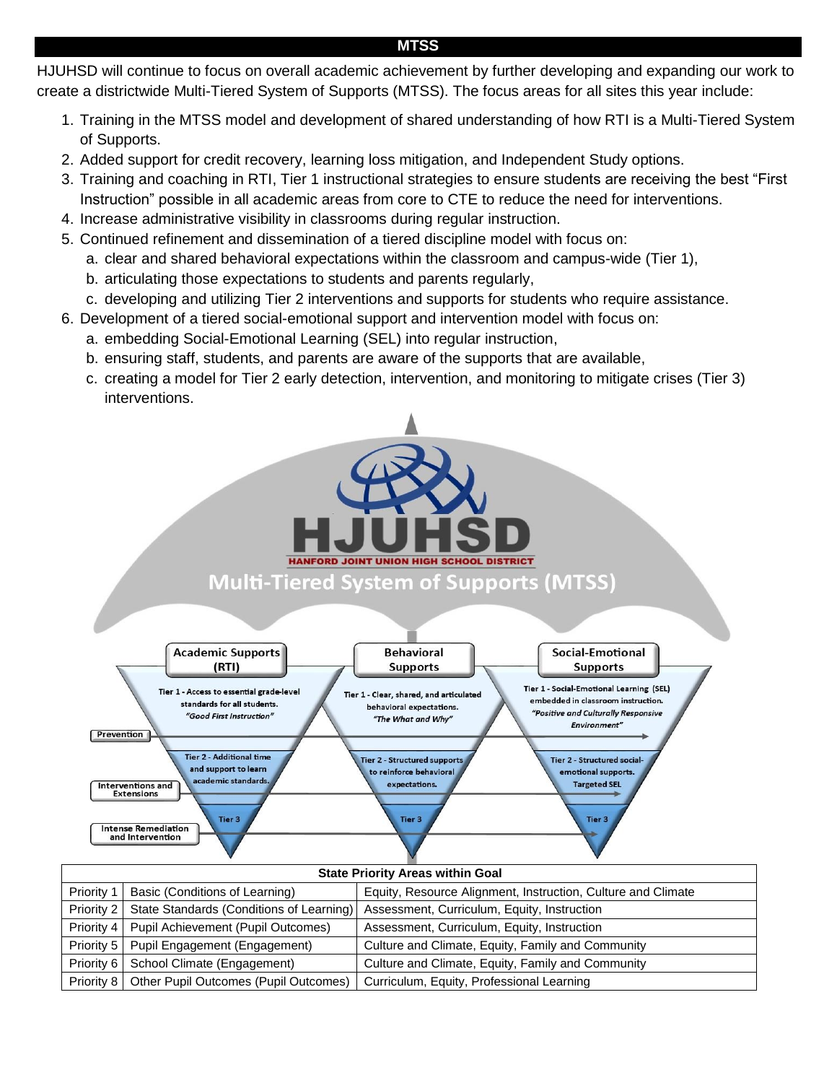# HJUHSD will continue to focus on overall academic achievement by further developing and expanding our work to create a districtwide Multi-Tiered System of Supports (MTSS). The focus areas for all sites this year include:

- 1. Training in the MTSS model and development of shared understanding of how RTI is a Multi-Tiered System of Supports.
- 2. Added support for credit recovery, learning loss mitigation, and Independent Study options.
- 3. Training and coaching in RTI, Tier 1 instructional strategies to ensure students are receiving the best "First Instruction" possible in all academic areas from core to CTE to reduce the need for interventions.
- 4. Increase administrative visibility in classrooms during regular instruction.
- 5. Continued refinement and dissemination of a tiered discipline model with focus on:
	- a. clear and shared behavioral expectations within the classroom and campus-wide (Tier 1),
	- b. articulating those expectations to students and parents regularly,
	- c. developing and utilizing Tier 2 interventions and supports for students who require assistance.
- 6. Development of a tiered social-emotional support and intervention model with focus on:
	- a. embedding Social-Emotional Learning (SEL) into regular instruction,
	- b. ensuring staff, students, and parents are aware of the supports that are available,
	- c. creating a model for Tier 2 early detection, intervention, and monitoring to mitigate crises (Tier 3) interventions.



### **MTSS**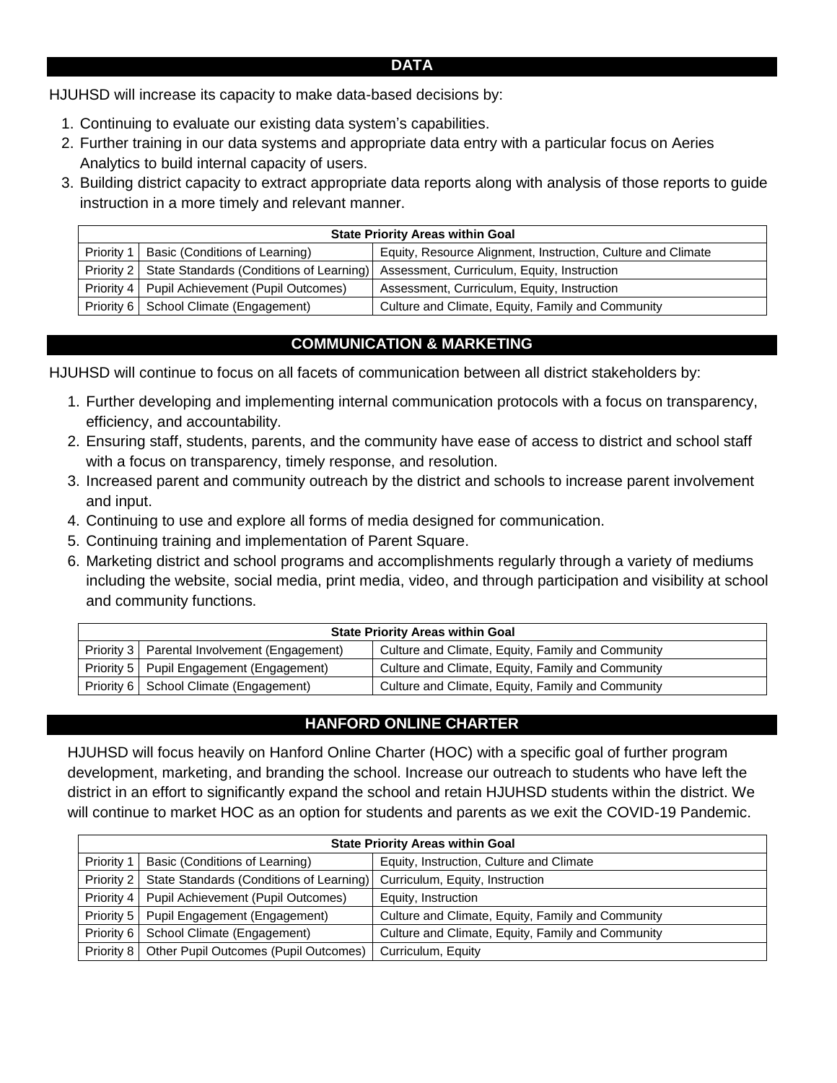### **DATA**

HJUHSD will increase its capacity to make data-based decisions by:

- 1. Continuing to evaluate our existing data system's capabilities.
- 2. Further training in our data systems and appropriate data entry with a particular focus on Aeries Analytics to build internal capacity of users.
- 3. Building district capacity to extract appropriate data reports along with analysis of those reports to guide instruction in a more timely and relevant manner.

| <b>State Priority Areas within Goal</b> |                                                       |                                                              |  |
|-----------------------------------------|-------------------------------------------------------|--------------------------------------------------------------|--|
|                                         | Priority 1   Basic (Conditions of Learning)           | Equity, Resource Alignment, Instruction, Culture and Climate |  |
|                                         | Priority 2   State Standards (Conditions of Learning) | Assessment, Curriculum, Equity, Instruction                  |  |
|                                         | Priority 4   Pupil Achievement (Pupil Outcomes)       | Assessment, Curriculum, Equity, Instruction                  |  |
|                                         | Priority 6   School Climate (Engagement)              | Culture and Climate, Equity, Family and Community            |  |

## **COMMUNICATION & MARKETING**

HJUHSD will continue to focus on all facets of communication between all district stakeholders by:

- 1. Further developing and implementing internal communication protocols with a focus on transparency, efficiency, and accountability.
- 2. Ensuring staff, students, parents, and the community have ease of access to district and school staff with a focus on transparency, timely response, and resolution.
- 3. Increased parent and community outreach by the district and schools to increase parent involvement and input.
- 4. Continuing to use and explore all forms of media designed for communication.
- 5. Continuing training and implementation of Parent Square.
- 6. Marketing district and school programs and accomplishments regularly through a variety of mediums including the website, social media, print media, video, and through participation and visibility at school and community functions.

| <b>State Priority Areas within Goal</b> |                                                |                                                   |  |
|-----------------------------------------|------------------------------------------------|---------------------------------------------------|--|
|                                         | Priority 3   Parental Involvement (Engagement) | Culture and Climate, Equity, Family and Community |  |
|                                         | Priority 5   Pupil Engagement (Engagement)     | Culture and Climate, Equity, Family and Community |  |
|                                         | Priority 6   School Climate (Engagement)       | Culture and Climate, Equity, Family and Community |  |

### **HANFORD ONLINE CHARTER**

HJUHSD will focus heavily on Hanford Online Charter (HOC) with a specific goal of further program development, marketing, and branding the school. Increase our outreach to students who have left the district in an effort to significantly expand the school and retain HJUHSD students within the district. We will continue to market HOC as an option for students and parents as we exit the COVID-19 Pandemic.

| <b>State Priority Areas within Goal</b> |                                                    |                                                   |  |  |
|-----------------------------------------|----------------------------------------------------|---------------------------------------------------|--|--|
| Priority 1                              | Basic (Conditions of Learning)                     | Equity, Instruction, Culture and Climate          |  |  |
| Priority 2                              | State Standards (Conditions of Learning)           | Curriculum, Equity, Instruction                   |  |  |
| Priority 4                              | Pupil Achievement (Pupil Outcomes)                 | Equity, Instruction                               |  |  |
| Priority 5                              | Pupil Engagement (Engagement)                      | Culture and Climate, Equity, Family and Community |  |  |
| Priority 6                              | School Climate (Engagement)                        | Culture and Climate, Equity, Family and Community |  |  |
|                                         | Priority 8   Other Pupil Outcomes (Pupil Outcomes) | Curriculum, Equity                                |  |  |